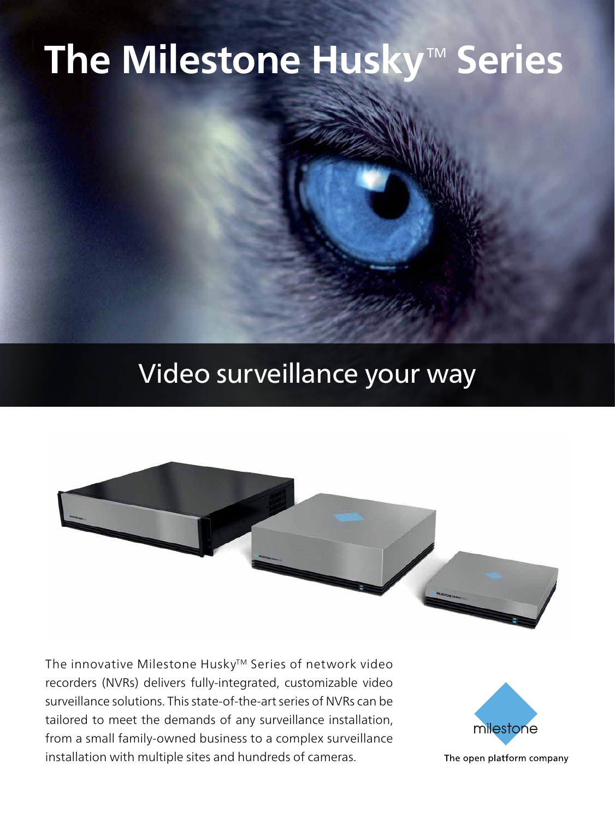### **The Milestone Husky™ Series**

### Video surveillance your way



The innovative Milestone Husky™ Series of network video recorders (NVRs) delivers fully-integrated, customizable video surveillance solutions. This state-of-the-art series of NVRs can be tailored to meet the demands of any surveillance installation, from a small family-owned business to a complex surveillance installation with multiple sites and hundreds of cameras.



The open platform company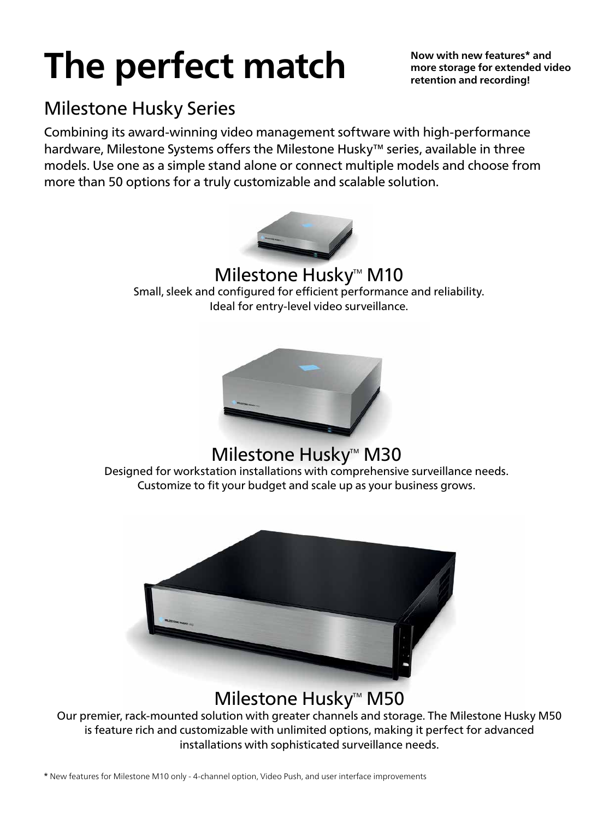# **The perfect match**

**Now with new features\* and more storage for extended video retention and recording!**

### Milestone Husky Series

Combining its award-winning video management software with high-performance hardware, Milestone Systems offers the Milestone Husky™ series, available in three models. Use one as a simple stand alone or connect multiple models and choose from more than 50 options for a truly customizable and scalable solution.



Milestone Husky<sup>™</sup> M10 Small, sleek and configured for efficient performance and reliability. Ideal for entry-level video surveillance.



#### Milestone Husky<sup>™</sup> M30

Designed for workstation installations with comprehensive surveillance needs. Customize to fit your budget and scale up as your business grows.



### Milestone Husky<sup>™</sup> M50

Our premier, rack-mounted solution with greater channels and storage. The Milestone Husky M50 is feature rich and customizable with unlimited options, making it perfect for advanced installations with sophisticated surveillance needs.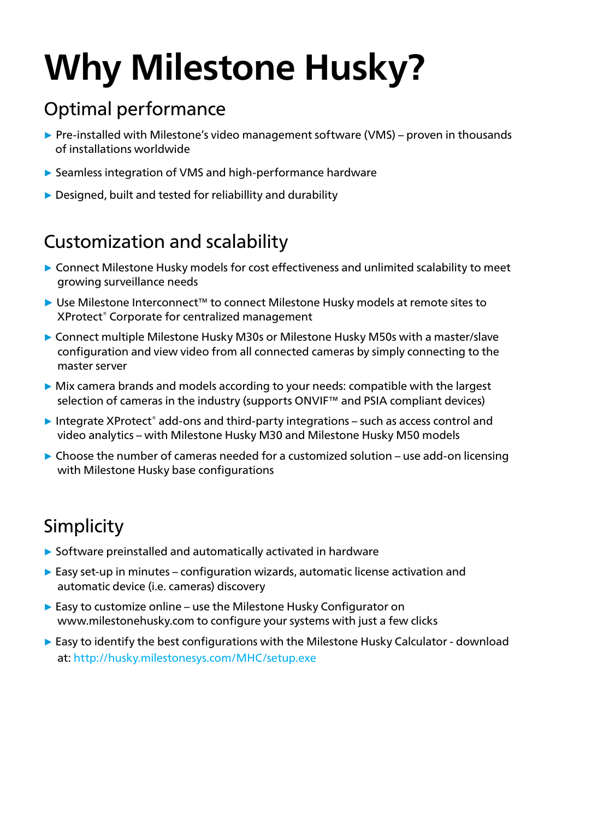# **Why Milestone Husky?**

### Optimal performance

- **▶ Pre-installed with Milestone's video management software (VMS) proven in thousands** of installations worldwide
- **▶** Seamless integration of VMS and high-performance hardware
- **▶** Designed, built and tested for reliabillity and durability

### Customization and scalability

- **▶** Connect Milestone Husky models for cost effectiveness and unlimited scalability to meet growing surveillance needs
- **▶** Use Milestone Interconnect™ to connect Milestone Husky models at remote sites to XProtect® Corporate for centralized management
- **▶** Connect multiple Milestone Husky M30s or Milestone Husky M50s with a master/slave configuration and view video from all connected cameras by simply connecting to the master server
- **▶** Mix camera brands and models according to your needs: compatible with the largest selection of cameras in the industry (supports ONVIF<sup>™</sup> and PSIA compliant devices)
- ▶ Integrate XProtect<sup>®</sup> add-ons and third-party integrations such as access control and video analytics – with Milestone Husky M30 and Milestone Husky M50 models
- **▶** Choose the number of cameras needed for a customized solution use add-on licensing with Milestone Husky base configurations

### Simplicity

- **▶** Software preinstalled and automatically activated in hardware
- **▶** Easy set-up in minutes configuration wizards, automatic license activation and automatic device (i.e. cameras) discovery
- **▶** Easy to customize online use the Milestone Husky Configurator on www.milestonehusky.com to configure your systems with just a few clicks
- **▶** Easy to identify the best configurations with the Milestone Husky Calculator download at: http://husky.milestonesys.com/MHC/setup.exe